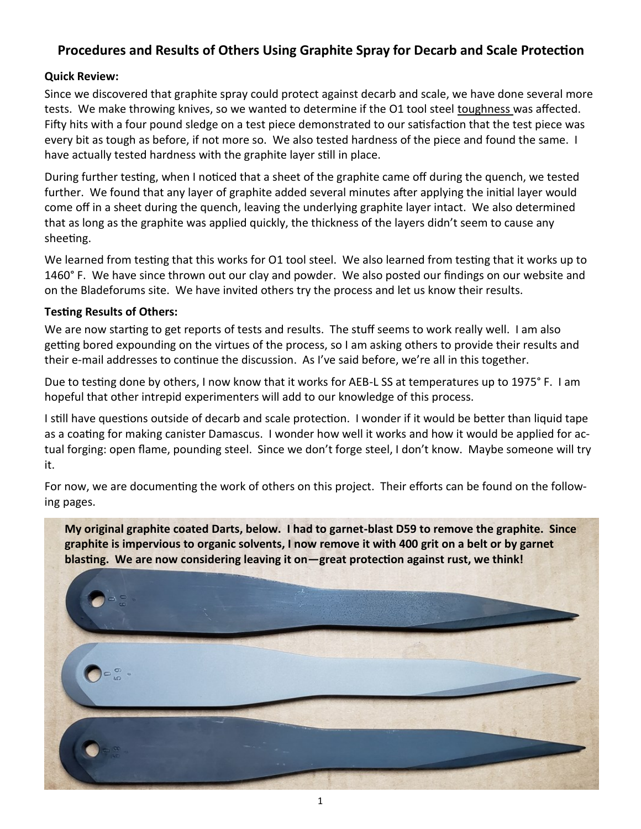### **Procedures and Results of Others Using Graphite Spray for Decarb and Scale Protection**

### **Quick Review:**

Since we discovered that graphite spray could protect against decarb and scale, we have done several more tests. We make throwing knives, so we wanted to determine if the O1 tool steel toughness was affected. Fifty hits with a four pound sledge on a test piece demonstrated to our satisfaction that the test piece was every bit as tough as before, if not more so. We also tested hardness of the piece and found the same. I have actually tested hardness with the graphite layer still in place.

During further testing, when I noticed that a sheet of the graphite came off during the quench, we tested further. We found that any layer of graphite added several minutes after applying the initial layer would come off in a sheet during the quench, leaving the underlying graphite layer intact. We also determined that as long as the graphite was applied quickly, the thickness of the layers didn't seem to cause any sheeting.

We learned from testing that this works for O1 tool steel. We also learned from testing that it works up to 1460° F. We have since thrown out our clay and powder. We also posted our findings on our website and on the Bladeforums site. We have invited others try the process and let us know their results.

#### **Testing Results of Others:**

We are now starting to get reports of tests and results. The stuff seems to work really well. I am also getting bored expounding on the virtues of the process, so I am asking others to provide their results and their e-mail addresses to continue the discussion. As I've said before, we're all in this together.

Due to testing done by others, I now know that it works for AEB-L SS at temperatures up to 1975° F. I am hopeful that other intrepid experimenters will add to our knowledge of this process.

I still have questions outside of decarb and scale protection. I wonder if it would be better than liquid tape as a coating for making canister Damascus. I wonder how well it works and how it would be applied for actual forging: open flame, pounding steel. Since we don't forge steel, I don't know. Maybe someone will try it.

For now, we are documenting the work of others on this project. Their efforts can be found on the following pages.

**My original graphite coated Darts, below. I had to garnet-blast D59 to remove the graphite. Since graphite is impervious to organic solvents, I now remove it with 400 grit on a belt or by garnet blasting. We are now considering leaving it on—great protection against rust, we think!**

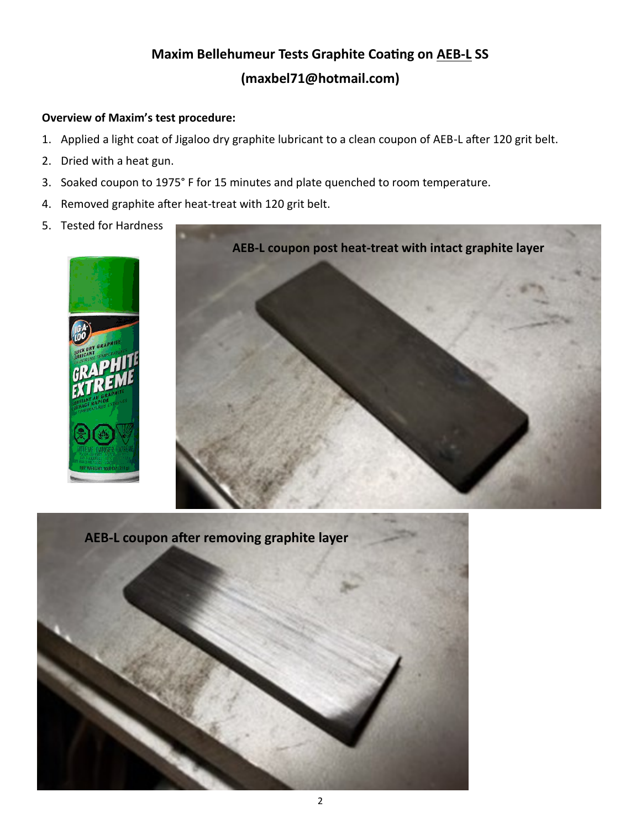# **Maxim Bellehumeur Tests Graphite Coating on AEB-L SS (maxbel71@hotmail.com)**

### **Overview of Maxim's test procedure:**

- 1. Applied a light coat of Jigaloo dry graphite lubricant to a clean coupon of AEB-L after 120 grit belt.
- 2. Dried with a heat gun.
- 3. Soaked coupon to 1975° F for 15 minutes and plate quenched to room temperature.
- 4. Removed graphite after heat-treat with 120 grit belt.
- 5. Tested for Hardness





**AEB-L coupon after removing graphite layer**

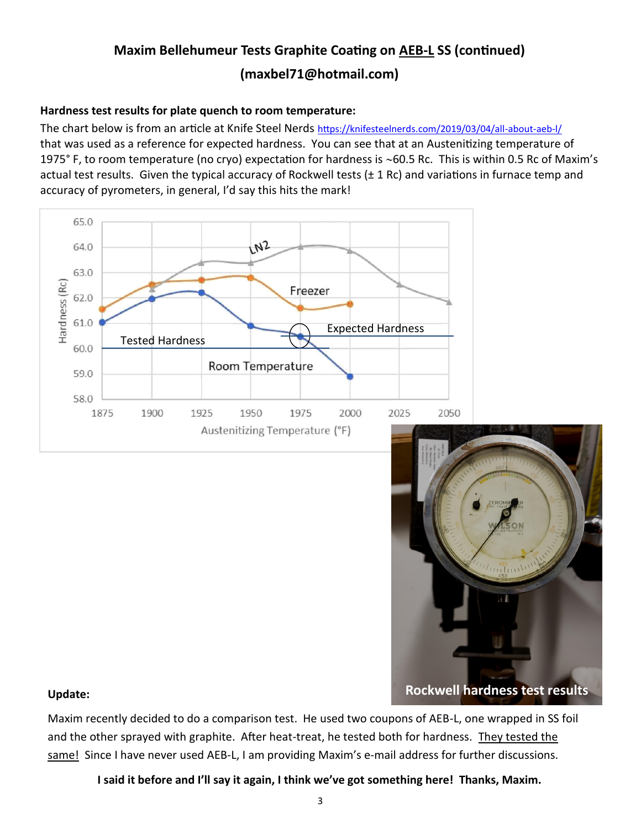# **Maxim Bellehumeur Tests Graphite Coating on AEB-L SS (continued) (maxbel71@hotmail.com)**

### **Hardness test results for plate quench to room temperature:**

The chart below is from an article at Knife Steel Nerds [https://knifesteelnerds.com/2019/03/04/all](https://knifesteelnerds.com/2019/03/04/all-about-aeb-l/)-about-aeb-l/ that was used as a reference for expected hardness. You can see that at an Austenitizing temperature of 1975° F, to room temperature (no cryo) expectation for hardness is ~60.5 Rc. This is within 0.5 Rc of Maxim's actual test results. Given the typical accuracy of Rockwell tests  $(\pm 1 \text{ Rc})$  and variations in furnace temp and accuracy of pyrometers, in general, I'd say this hits the mark!



**Update:**

Maxim recently decided to do a comparison test. He used two coupons of AEB-L, one wrapped in SS foil and the other sprayed with graphite. After heat-treat, he tested both for hardness. They tested the same! Since I have never used AEB-L, I am providing Maxim's e-mail address for further discussions.

**I said it before and I'll say it again, I think we've got something here! Thanks, Maxim.**